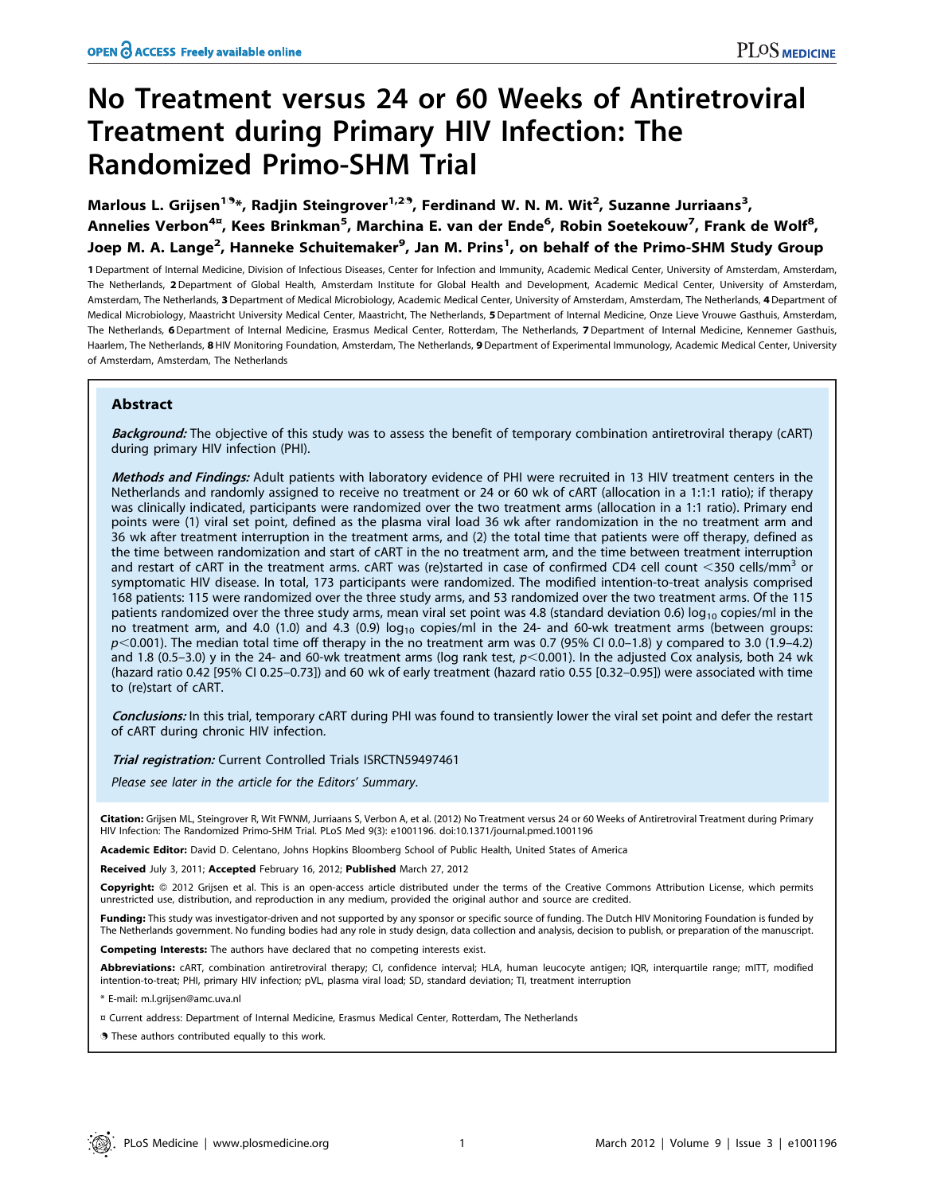# No Treatment versus 24 or 60 Weeks of Antiretroviral Treatment during Primary HIV Infection: The Randomized Primo-SHM Trial

Marlous L. Grijsen<sup>19</sup>\*, Radjin Steingrover<sup>1,29</sup>, Ferdinand W. N. M. Wit<sup>2</sup>, Suzanne Jurriaans<sup>3</sup>, Annelies Verbon<sup>4¤</sup>, Kees Brinkman<sup>5</sup>, Marchina E. van der Ende<sup>6</sup>, Robin Soetekouw<sup>7</sup>, Frank de Wolf<sup>8</sup>, Joep M. A. Lange<sup>2</sup>, Hanneke Schuitemaker<sup>9</sup>, Jan M. Prins<sup>1</sup>, on behalf of the Primo-SHM Study Group

1 Department of Internal Medicine, Division of Infectious Diseases, Center for Infection and Immunity, Academic Medical Center, University of Amsterdam, Amsterdam, The Netherlands, 2 Department of Global Health, Amsterdam Institute for Global Health and Development, Academic Medical Center, University of Amsterdam, Amsterdam, The Netherlands, 3 Department of Medical Microbiology, Academic Medical Center, University of Amsterdam, Amsterdam, The Netherlands, 4 Department of Medical Microbiology, Maastricht University Medical Center, Maastricht, The Netherlands, 5Department of Internal Medicine, Onze Lieve Vrouwe Gasthuis, Amsterdam, The Netherlands, 6 Department of Internal Medicine, Erasmus Medical Center, Rotterdam, The Netherlands, 7 Department of Internal Medicine, Kennemer Gasthuis, Haarlem, The Netherlands, 8 HIV Monitoring Foundation, Amsterdam, The Netherlands, 9 Department of Experimental Immunology, Academic Medical Center, University of Amsterdam, Amsterdam, The Netherlands

## Abstract

Background: The objective of this study was to assess the benefit of temporary combination antiretroviral therapy (cART) during primary HIV infection (PHI).

Methods and Findings: Adult patients with laboratory evidence of PHI were recruited in 13 HIV treatment centers in the Netherlands and randomly assigned to receive no treatment or 24 or 60 wk of cART (allocation in a 1:1:1 ratio); if therapy was clinically indicated, participants were randomized over the two treatment arms (allocation in a 1:1 ratio). Primary end points were (1) viral set point, defined as the plasma viral load 36 wk after randomization in the no treatment arm and 36 wk after treatment interruption in the treatment arms, and (2) the total time that patients were off therapy, defined as the time between randomization and start of cART in the no treatment arm, and the time between treatment interruption and restart of cART in the treatment arms. cART was (re)started in case of confirmed CD4 cell count  $\leq$ 350 cells/mm<sup>3</sup> or symptomatic HIV disease. In total, 173 participants were randomized. The modified intention-to-treat analysis comprised 168 patients: 115 were randomized over the three study arms, and 53 randomized over the two treatment arms. Of the 115 patients randomized over the three study arms, mean viral set point was 4.8 (standard deviation 0.6)  $log_{10}$  copies/ml in the no treatment arm, and 4.0 (1.0) and 4.3 (0.9)  $log_{10}$  copies/ml in the 24- and 60-wk treatment arms (between groups:  $p$ <0.001). The median total time off therapy in the no treatment arm was 0.7 (95% CI 0.0–1.8) y compared to 3.0 (1.9–4.2) and 1.8 (0.5–3.0) y in the 24- and 60-wk treatment arms (log rank test,  $p<0.001$ ). In the adjusted Cox analysis, both 24 wk (hazard ratio 0.42 [95% CI 0.25–0.73]) and 60 wk of early treatment (hazard ratio 0.55 [0.32–0.95]) were associated with time to (re)start of cART.

Conclusions: In this trial, temporary cART during PHI was found to transiently lower the viral set point and defer the restart of cART during chronic HIV infection.

## Trial registration: Current Controlled Trials ISRCTN59497461

Please see later in the article for the Editors' Summary.

Citation: Grijsen ML, Steingrover R, Wit FWNM, Jurriaans S, Verbon A, et al. (2012) No Treatment versus 24 or 60 Weeks of Antiretroviral Treatment during Primary HIV Infection: The Randomized Primo-SHM Trial. PLoS Med 9(3): e1001196. doi:10.1371/journal.pmed.1001196

Academic Editor: David D. Celentano, Johns Hopkins Bloomberg School of Public Health, United States of America

Received July 3, 2011; Accepted February 16, 2012; Published March 27, 2012

Copyright: © 2012 Grijsen et al. This is an open-access article distributed under the terms of the Creative Commons Attribution License, which permits unrestricted use, distribution, and reproduction in any medium, provided the original author and source are credited.

Funding: This study was investigator-driven and not supported by any sponsor or specific source of funding. The Dutch HIV Monitoring Foundation is funded by The Netherlands government. No funding bodies had any role in study design, data collection and analysis, decision to publish, or preparation of the manuscript.

Competing Interests: The authors have declared that no competing interests exist.

Abbreviations: cART, combination antiretroviral therapy; CI, confidence interval; HLA, human leucocyte antigen; IQR, interquartile range; mITT, modified intention-to-treat; PHI, primary HIV infection; pVL, plasma viral load; SD, standard deviation; TI, treatment interruption

\* E-mail: m.l.grijsen@amc.uva.nl

¤ Current address: Department of Internal Medicine, Erasmus Medical Center, Rotterdam, The Netherlands

. These authors contributed equally to this work.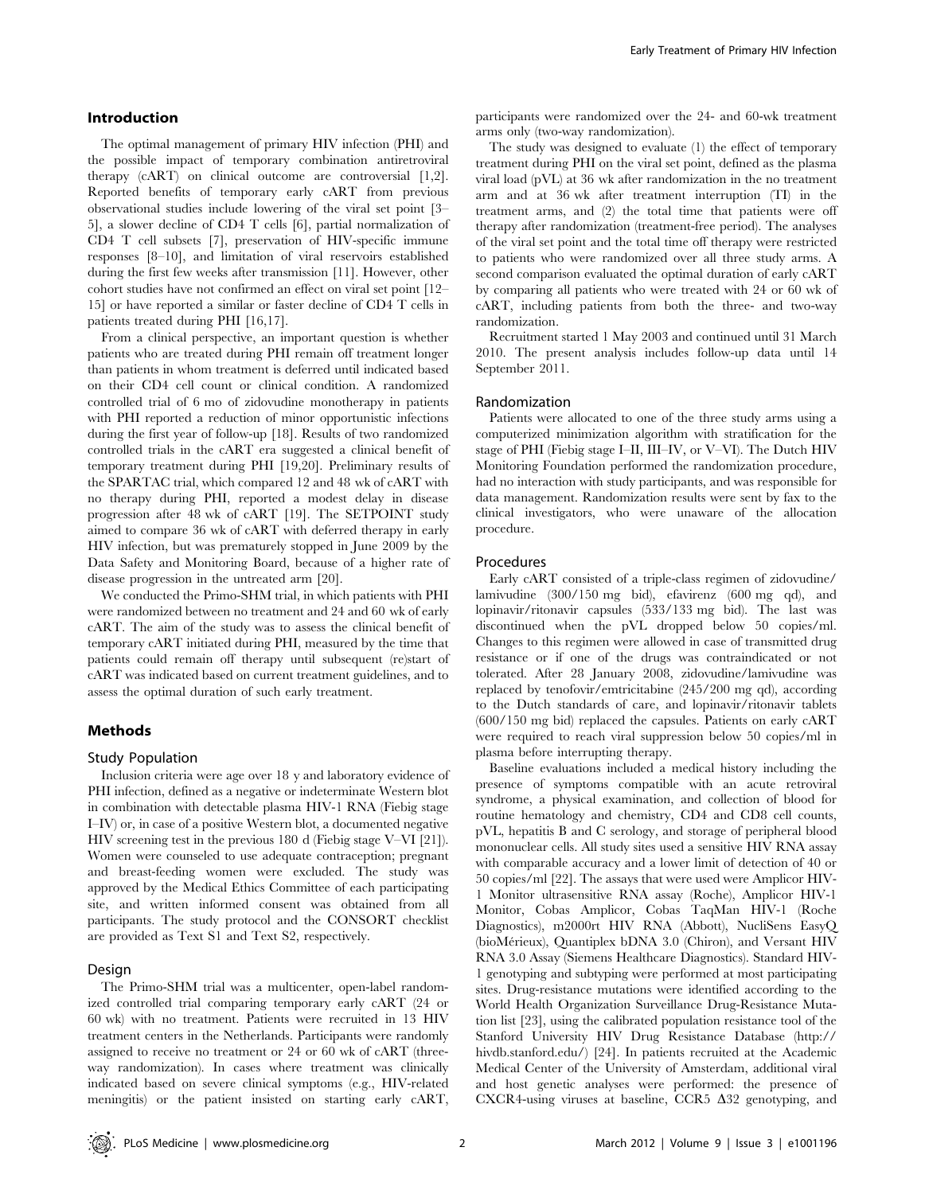#### Introduction

The optimal management of primary HIV infection (PHI) and the possible impact of temporary combination antiretroviral therapy (cART) on clinical outcome are controversial [1,2]. Reported benefits of temporary early cART from previous observational studies include lowering of the viral set point [3– 5], a slower decline of CD4 T cells [6], partial normalization of CD4 T cell subsets [7], preservation of HIV-specific immune responses [8–10], and limitation of viral reservoirs established during the first few weeks after transmission [11]. However, other cohort studies have not confirmed an effect on viral set point [12– 15] or have reported a similar or faster decline of CD4 T cells in patients treated during PHI [16,17].

From a clinical perspective, an important question is whether patients who are treated during PHI remain off treatment longer than patients in whom treatment is deferred until indicated based on their CD4 cell count or clinical condition. A randomized controlled trial of 6 mo of zidovudine monotherapy in patients with PHI reported a reduction of minor opportunistic infections during the first year of follow-up [18]. Results of two randomized controlled trials in the cART era suggested a clinical benefit of temporary treatment during PHI [19,20]. Preliminary results of the SPARTAC trial, which compared 12 and 48 wk of cART with no therapy during PHI, reported a modest delay in disease progression after 48 wk of cART [19]. The SETPOINT study aimed to compare 36 wk of cART with deferred therapy in early HIV infection, but was prematurely stopped in June 2009 by the Data Safety and Monitoring Board, because of a higher rate of disease progression in the untreated arm [20].

We conducted the Primo-SHM trial, in which patients with PHI were randomized between no treatment and 24 and 60 wk of early cART. The aim of the study was to assess the clinical benefit of temporary cART initiated during PHI, measured by the time that patients could remain off therapy until subsequent (re)start of cART was indicated based on current treatment guidelines, and to assess the optimal duration of such early treatment.

## Methods

#### Study Population

Inclusion criteria were age over 18 y and laboratory evidence of PHI infection, defined as a negative or indeterminate Western blot in combination with detectable plasma HIV-1 RNA (Fiebig stage I–IV) or, in case of a positive Western blot, a documented negative HIV screening test in the previous 180 d (Fiebig stage V–VI [21]). Women were counseled to use adequate contraception; pregnant and breast-feeding women were excluded. The study was approved by the Medical Ethics Committee of each participating site, and written informed consent was obtained from all participants. The study protocol and the CONSORT checklist are provided as Text S1 and Text S2, respectively.

#### Design

The Primo-SHM trial was a multicenter, open-label randomized controlled trial comparing temporary early cART (24 or 60 wk) with no treatment. Patients were recruited in 13 HIV treatment centers in the Netherlands. Participants were randomly assigned to receive no treatment or 24 or 60 wk of cART (threeway randomization). In cases where treatment was clinically indicated based on severe clinical symptoms (e.g., HIV-related meningitis) or the patient insisted on starting early cART,

participants were randomized over the 24- and 60-wk treatment arms only (two-way randomization).

The study was designed to evaluate (1) the effect of temporary treatment during PHI on the viral set point, defined as the plasma viral load (pVL) at 36 wk after randomization in the no treatment arm and at 36 wk after treatment interruption (TI) in the treatment arms, and (2) the total time that patients were off therapy after randomization (treatment-free period). The analyses of the viral set point and the total time off therapy were restricted to patients who were randomized over all three study arms. A second comparison evaluated the optimal duration of early cART by comparing all patients who were treated with 24 or 60 wk of cART, including patients from both the three- and two-way randomization.

Recruitment started 1 May 2003 and continued until 31 March 2010. The present analysis includes follow-up data until 14 September 2011.

## Randomization

Patients were allocated to one of the three study arms using a computerized minimization algorithm with stratification for the stage of PHI (Fiebig stage I–II, III–IV, or V–VI). The Dutch HIV Monitoring Foundation performed the randomization procedure, had no interaction with study participants, and was responsible for data management. Randomization results were sent by fax to the clinical investigators, who were unaware of the allocation procedure.

#### Procedures

Early cART consisted of a triple-class regimen of zidovudine/ lamivudine (300/150 mg bid), efavirenz (600 mg qd), and lopinavir/ritonavir capsules (533/133 mg bid). The last was discontinued when the pVL dropped below 50 copies/ml. Changes to this regimen were allowed in case of transmitted drug resistance or if one of the drugs was contraindicated or not tolerated. After 28 January 2008, zidovudine/lamivudine was replaced by tenofovir/emtricitabine (245/200 mg qd), according to the Dutch standards of care, and lopinavir/ritonavir tablets (600/150 mg bid) replaced the capsules. Patients on early cART were required to reach viral suppression below 50 copies/ml in plasma before interrupting therapy.

Baseline evaluations included a medical history including the presence of symptoms compatible with an acute retroviral syndrome, a physical examination, and collection of blood for routine hematology and chemistry, CD4 and CD8 cell counts, pVL, hepatitis B and C serology, and storage of peripheral blood mononuclear cells. All study sites used a sensitive HIV RNA assay with comparable accuracy and a lower limit of detection of 40 or 50 copies/ml [22]. The assays that were used were Amplicor HIV-1 Monitor ultrasensitive RNA assay (Roche), Amplicor HIV-1 Monitor, Cobas Amplicor, Cobas TaqMan HIV-1 (Roche Diagnostics), m2000rt HIV RNA (Abbott), NucliSens EasyQ (bioMérieux), Quantiplex bDNA 3.0 (Chiron), and Versant HIV RNA 3.0 Assay (Siemens Healthcare Diagnostics). Standard HIV-1 genotyping and subtyping were performed at most participating sites. Drug-resistance mutations were identified according to the World Health Organization Surveillance Drug-Resistance Mutation list [23], using the calibrated population resistance tool of the Stanford University HIV Drug Resistance Database (http:// hivdb.stanford.edu/) [24]. In patients recruited at the Academic Medical Center of the University of Amsterdam, additional viral and host genetic analyses were performed: the presence of CXCR4-using viruses at baseline, CCR5  $\Delta$ 32 genotyping, and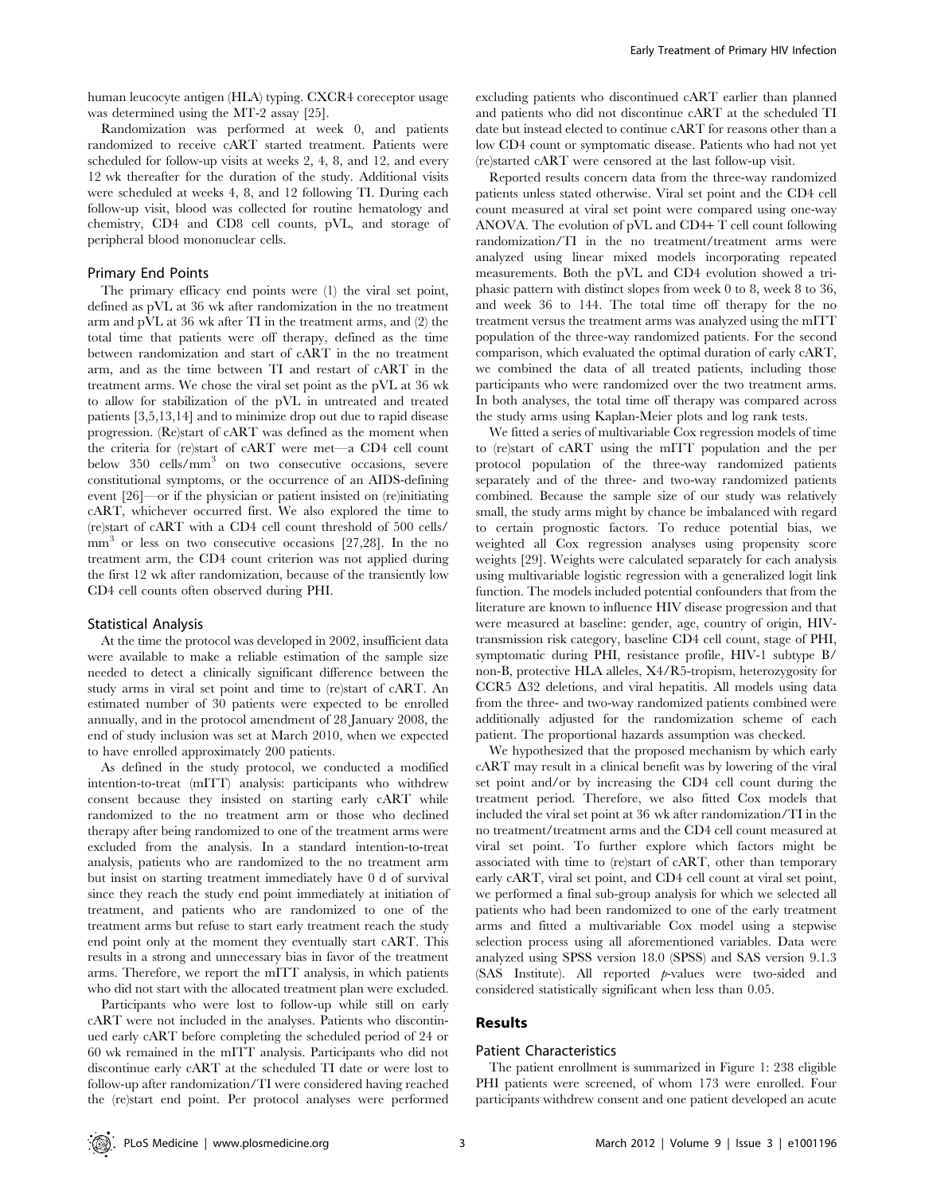human leucocyte antigen (HLA) typing. CXCR4 coreceptor usage was determined using the MT-2 assay [25].

Randomization was performed at week 0, and patients randomized to receive cART started treatment. Patients were scheduled for follow-up visits at weeks 2, 4, 8, and 12, and every 12 wk thereafter for the duration of the study. Additional visits were scheduled at weeks 4, 8, and 12 following TI. During each follow-up visit, blood was collected for routine hematology and chemistry, CD4 and CD8 cell counts, pVL, and storage of peripheral blood mononuclear cells.

#### Primary End Points

The primary efficacy end points were (1) the viral set point, defined as pVL at 36 wk after randomization in the no treatment arm and pVL at 36 wk after TI in the treatment arms, and (2) the total time that patients were off therapy, defined as the time between randomization and start of cART in the no treatment arm, and as the time between TI and restart of cART in the treatment arms. We chose the viral set point as the pVL at 36 wk to allow for stabilization of the pVL in untreated and treated patients [3,5,13,14] and to minimize drop out due to rapid disease progression. (Re)start of cART was defined as the moment when the criteria for (re)start of cART were met—a CD4 cell count below 350 cells/mm<sup>3</sup> on two consecutive occasions, severe constitutional symptoms, or the occurrence of an AIDS-defining event [26]—or if the physician or patient insisted on (re)initiating cART, whichever occurred first. We also explored the time to (re)start of cART with a CD4 cell count threshold of 500 cells/ mm<sup>3</sup> or less on two consecutive occasions [27,28]. In the no treatment arm, the CD4 count criterion was not applied during the first 12 wk after randomization, because of the transiently low CD4 cell counts often observed during PHI.

#### Statistical Analysis

At the time the protocol was developed in 2002, insufficient data were available to make a reliable estimation of the sample size needed to detect a clinically significant difference between the study arms in viral set point and time to (re)start of cART. An estimated number of 30 patients were expected to be enrolled annually, and in the protocol amendment of 28 January 2008, the end of study inclusion was set at March 2010, when we expected to have enrolled approximately 200 patients.

As defined in the study protocol, we conducted a modified intention-to-treat (mITT) analysis: participants who withdrew consent because they insisted on starting early cART while randomized to the no treatment arm or those who declined therapy after being randomized to one of the treatment arms were excluded from the analysis. In a standard intention-to-treat analysis, patients who are randomized to the no treatment arm but insist on starting treatment immediately have 0 d of survival since they reach the study end point immediately at initiation of treatment, and patients who are randomized to one of the treatment arms but refuse to start early treatment reach the study end point only at the moment they eventually start cART. This results in a strong and unnecessary bias in favor of the treatment arms. Therefore, we report the mITT analysis, in which patients who did not start with the allocated treatment plan were excluded.

Participants who were lost to follow-up while still on early cART were not included in the analyses. Patients who discontinued early cART before completing the scheduled period of 24 or 60 wk remained in the mITT analysis. Participants who did not discontinue early cART at the scheduled TI date or were lost to follow-up after randomization/TI were considered having reached the (re)start end point. Per protocol analyses were performed excluding patients who discontinued cART earlier than planned and patients who did not discontinue cART at the scheduled TI date but instead elected to continue cART for reasons other than a low CD4 count or symptomatic disease. Patients who had not yet (re)started cART were censored at the last follow-up visit.

Reported results concern data from the three-way randomized patients unless stated otherwise. Viral set point and the CD4 cell count measured at viral set point were compared using one-way ANOVA. The evolution of pVL and CD4+ T cell count following randomization/TI in the no treatment/treatment arms were analyzed using linear mixed models incorporating repeated measurements. Both the pVL and CD4 evolution showed a triphasic pattern with distinct slopes from week 0 to 8, week 8 to 36, and week 36 to 144. The total time off therapy for the no treatment versus the treatment arms was analyzed using the mITT population of the three-way randomized patients. For the second comparison, which evaluated the optimal duration of early cART, we combined the data of all treated patients, including those participants who were randomized over the two treatment arms. In both analyses, the total time off therapy was compared across the study arms using Kaplan-Meier plots and log rank tests.

We fitted a series of multivariable Cox regression models of time to (re)start of cART using the mITT population and the per protocol population of the three-way randomized patients separately and of the three- and two-way randomized patients combined. Because the sample size of our study was relatively small, the study arms might by chance be imbalanced with regard to certain prognostic factors. To reduce potential bias, we weighted all Cox regression analyses using propensity score weights [29]. Weights were calculated separately for each analysis using multivariable logistic regression with a generalized logit link function. The models included potential confounders that from the literature are known to influence HIV disease progression and that were measured at baseline: gender, age, country of origin, HIVtransmission risk category, baseline CD4 cell count, stage of PHI, symptomatic during PHI, resistance profile, HIV-1 subtype B/ non-B, protective HLA alleles, X4/R5-tropism, heterozygosity for CCR5  $\Delta$ 32 deletions, and viral hepatitis. All models using data from the three- and two-way randomized patients combined were additionally adjusted for the randomization scheme of each patient. The proportional hazards assumption was checked.

We hypothesized that the proposed mechanism by which early cART may result in a clinical benefit was by lowering of the viral set point and/or by increasing the CD4 cell count during the treatment period. Therefore, we also fitted Cox models that included the viral set point at 36 wk after randomization/TI in the no treatment/treatment arms and the CD4 cell count measured at viral set point. To further explore which factors might be associated with time to (re)start of cART, other than temporary early cART, viral set point, and CD4 cell count at viral set point, we performed a final sub-group analysis for which we selected all patients who had been randomized to one of the early treatment arms and fitted a multivariable Cox model using a stepwise selection process using all aforementioned variables. Data were analyzed using SPSS version 18.0 (SPSS) and SAS version 9.1.3 (SAS Institute). All reported p-values were two-sided and considered statistically significant when less than 0.05.

## Results

#### Patient Characteristics

The patient enrollment is summarized in Figure 1: 238 eligible PHI patients were screened, of whom 173 were enrolled. Four participants withdrew consent and one patient developed an acute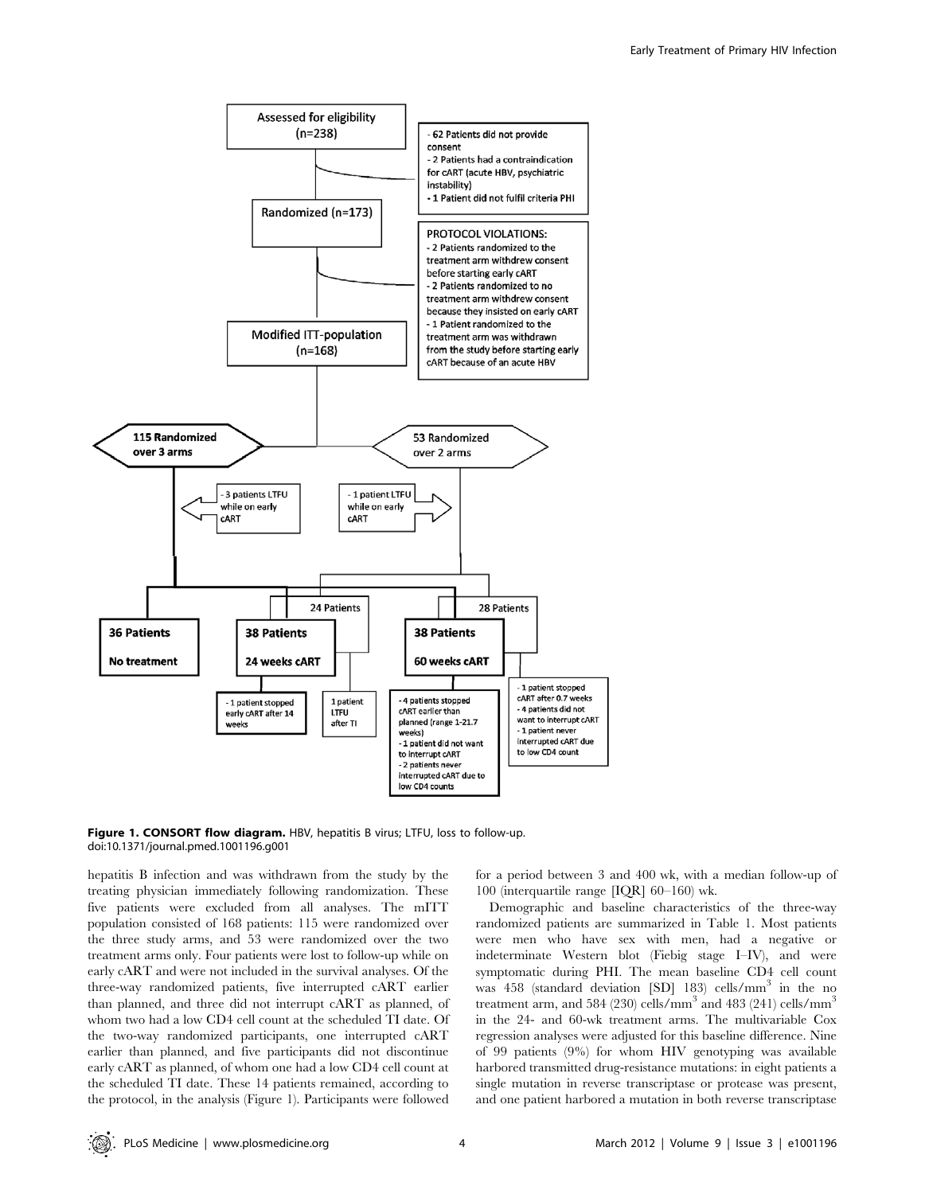

Figure 1. CONSORT flow diagram. HBV, hepatitis B virus; LTFU, loss to follow-up. doi:10.1371/journal.pmed.1001196.g001

hepatitis B infection and was withdrawn from the study by the treating physician immediately following randomization. These five patients were excluded from all analyses. The mITT population consisted of 168 patients: 115 were randomized over the three study arms, and 53 were randomized over the two treatment arms only. Four patients were lost to follow-up while on early cART and were not included in the survival analyses. Of the three-way randomized patients, five interrupted cART earlier than planned, and three did not interrupt cART as planned, of whom two had a low CD4 cell count at the scheduled TI date. Of the two-way randomized participants, one interrupted cART earlier than planned, and five participants did not discontinue early cART as planned, of whom one had a low CD4 cell count at the scheduled TI date. These 14 patients remained, according to the protocol, in the analysis (Figure 1). Participants were followed for a period between 3 and 400 wk, with a median follow-up of 100 (interquartile range [IQR] 60–160) wk.

Demographic and baseline characteristics of the three-way randomized patients are summarized in Table 1. Most patients were men who have sex with men, had a negative or indeterminate Western blot (Fiebig stage I–IV), and were symptomatic during PHI. The mean baseline CD4 cell count was 458 (standard deviation [SD] 183) cells/mm<sup>3</sup> in the no treatment arm, and 584 (230) cells/mm<sup>3</sup> and 483 (241) cells/mm<sup>3</sup> in the 24- and 60-wk treatment arms. The multivariable Cox regression analyses were adjusted for this baseline difference. Nine of 99 patients (9%) for whom HIV genotyping was available harbored transmitted drug-resistance mutations: in eight patients a single mutation in reverse transcriptase or protease was present, and one patient harbored a mutation in both reverse transcriptase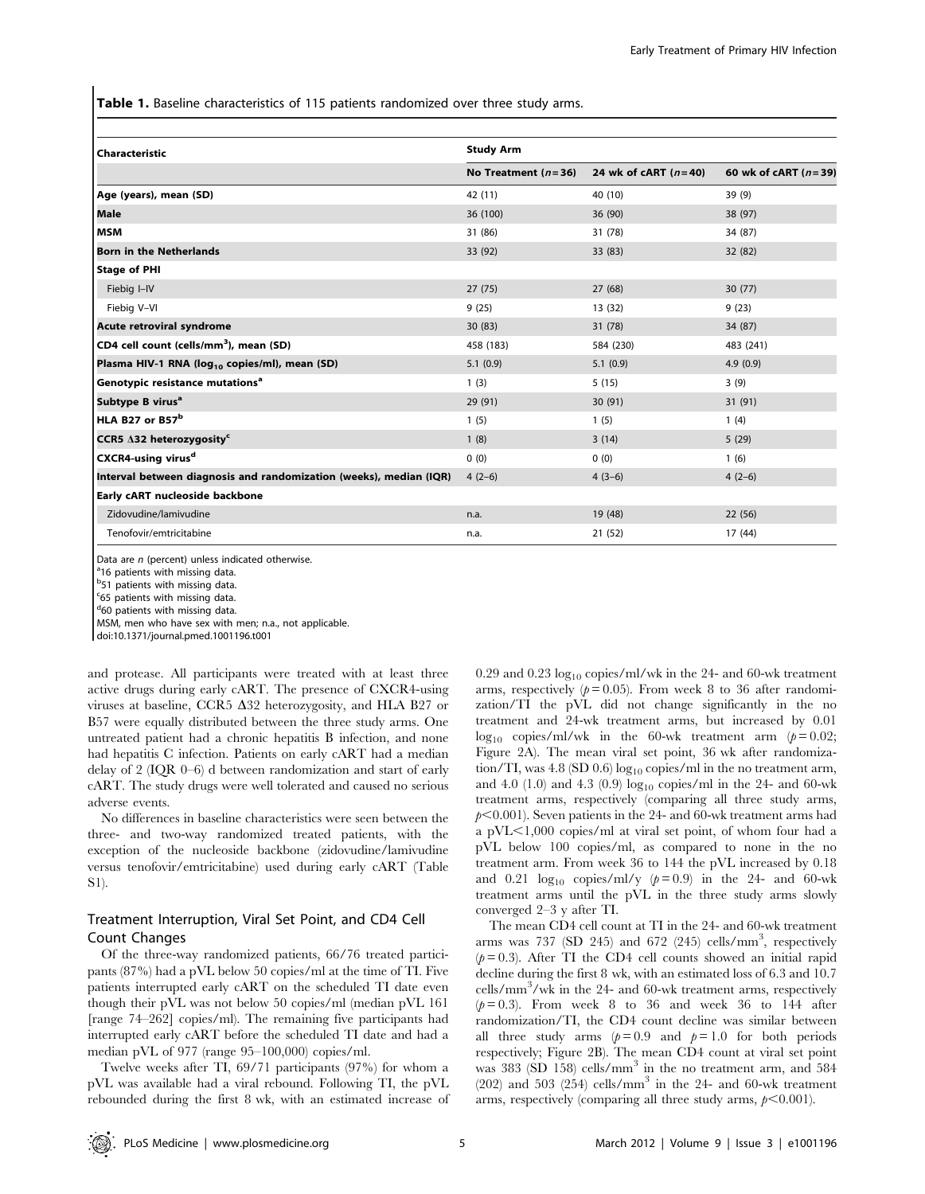Table 1. Baseline characteristics of 115 patients randomized over three study arms.

| <b>Characteristic</b>                                              | <b>Study Arm</b>      |                        |                        |  |  |  |
|--------------------------------------------------------------------|-----------------------|------------------------|------------------------|--|--|--|
|                                                                    | No Treatment $(n=36)$ | 24 wk of cART $(n=40)$ | 60 wk of cART $(n=39)$ |  |  |  |
| Age (years), mean (SD)                                             | 42 (11)               | 40 (10)                | 39(9)                  |  |  |  |
| Male                                                               | 36 (100)              | 36(90)                 | 38 (97)                |  |  |  |
| MSM                                                                | 31 (86)               | 31 (78)                | 34 (87)                |  |  |  |
| <b>Born in the Netherlands</b>                                     | 33 (92)               | 33 (83)                | 32 (82)                |  |  |  |
| Stage of PHI                                                       |                       |                        |                        |  |  |  |
| Fiebig I-IV                                                        | 27(75)                | 27(68)                 | 30(77)                 |  |  |  |
| Fiebig V-VI                                                        | 9(25)                 | 13 (32)                | 9(23)                  |  |  |  |
| Acute retroviral syndrome                                          | 30 (83)               | 31 (78)                | 34 (87)                |  |  |  |
| CD4 cell count (cells/mm <sup>3</sup> ), mean (SD)                 | 458 (183)             | 584 (230)              | 483 (241)              |  |  |  |
| Plasma HIV-1 RNA (log <sub>10</sub> copies/ml), mean (SD)          | 5.1(0.9)              | 5.1(0.9)               | 4.9(0.9)               |  |  |  |
| Genotypic resistance mutations <sup>a</sup>                        | 1(3)                  | 5(15)                  | 3(9)                   |  |  |  |
| Subtype B virus <sup>a</sup>                                       | 29 (91)               | 30(91)                 | 31 (91)                |  |  |  |
| HLA B27 or B57 <sup>b</sup>                                        | 1(5)                  | 1(5)                   | 1(4)                   |  |  |  |
| CCR5 A32 heterozygosity <sup>c</sup>                               | 1(8)                  | 3(14)                  | 5(29)                  |  |  |  |
| CXCR4-using virus <sup>d</sup>                                     | 0(0)                  | 0(0)                   | 1(6)                   |  |  |  |
| Interval between diagnosis and randomization (weeks), median (IQR) | $4(2-6)$              | $4(3-6)$               | $4(2-6)$               |  |  |  |
| Early cART nucleoside backbone                                     |                       |                        |                        |  |  |  |
| Zidovudine/lamivudine                                              | n.a.                  | 19 (48)                | 22 (56)                |  |  |  |
| Tenofovir/emtricitabine                                            | n.a.                  | 21(52)                 | 17 (44)                |  |  |  |

Data are  $n$  (percent) unless indicated otherwise.

<sup>a</sup>16 patients with missing data.

<sup>b</sup>51 patients with missing data.

<sup>c</sup>65 patients with missing data.

<sup>d</sup>60 patients with missing data.

MSM, men who have sex with men; n.a., not applicable.

doi:10.1371/journal.pmed.1001196.t001

and protease. All participants were treated with at least three active drugs during early cART. The presence of CXCR4-using viruses at baseline, CCR5  $\Delta$ 32 heterozygosity, and HLA B27 or B57 were equally distributed between the three study arms. One untreated patient had a chronic hepatitis B infection, and none had hepatitis C infection. Patients on early cART had a median delay of 2 (IQR 0–6) d between randomization and start of early cART. The study drugs were well tolerated and caused no serious adverse events.

No differences in baseline characteristics were seen between the three- and two-way randomized treated patients, with the exception of the nucleoside backbone (zidovudine/lamivudine versus tenofovir/emtricitabine) used during early cART (Table S1).

## Treatment Interruption, Viral Set Point, and CD4 Cell Count Changes

Of the three-way randomized patients, 66/76 treated participants (87%) had a pVL below 50 copies/ml at the time of TI. Five patients interrupted early cART on the scheduled TI date even though their pVL was not below 50 copies/ml (median pVL 161 [range 74–262] copies/ml). The remaining five participants had interrupted early cART before the scheduled TI date and had a median pVL of 977 (range 95–100,000) copies/ml.

Twelve weeks after TI, 69/71 participants (97%) for whom a pVL was available had a viral rebound. Following TI, the pVL rebounded during the first 8 wk, with an estimated increase of 0.29 and 0.23  $log_{10}$  copies/ml/wk in the 24- and 60-wk treatment arms, respectively  $(p= 0.05)$ . From week 8 to 36 after randomization/TI the pVL did not change significantly in the no treatment and 24-wk treatment arms, but increased by 0.01  $\log_{10}$  copies/ml/wk in the 60-wk treatment arm ( $p=0.02$ ; Figure 2A). The mean viral set point, 36 wk after randomization/TI, was  $4.8$  (SD  $0.6$ ) log<sub>10</sub> copies/ml in the no treatment arm, and 4.0 (1.0) and 4.3 (0.9)  $log_{10}$  copies/ml in the 24- and 60-wk treatment arms, respectively (comparing all three study arms,  $p<0.001$ ). Seven patients in the 24- and 60-wk treatment arms had a pVL,1,000 copies/ml at viral set point, of whom four had a pVL below 100 copies/ml, as compared to none in the no treatment arm. From week 36 to 144 the pVL increased by 0.18 and 0.21  $\log_{10}$  copies/ml/y ( $p = 0.9$ ) in the 24- and 60-wk treatment arms until the pVL in the three study arms slowly converged 2–3 y after TI.

The mean CD4 cell count at TI in the 24- and 60-wk treatment arms was 737 (SD 245) and 672 (245) cells/mm<sup>3</sup>, respectively  $(p= 0.3)$ . After TI the CD4 cell counts showed an initial rapid decline during the first 8 wk, with an estimated loss of 6.3 and 10.7 cells/mm<sup>3</sup> /wk in the 24- and 60-wk treatment arms, respectively  $(p= 0.3)$ . From week 8 to 36 and week 36 to 144 after randomization/TI, the CD4 count decline was similar between all three study arms  $(p=0.9 \text{ and } p=1.0 \text{ for both periods})$ respectively; Figure 2B). The mean CD4 count at viral set point was  $383$  (SD  $158$ ) cells/mm<sup>3</sup> in the no treatment arm, and  $584$  $(202)$  and 503  $(254)$  cells/mm<sup>3</sup> in the 24- and 60-wk treatment arms, respectively (comparing all three study arms,  $p<0.001$ ).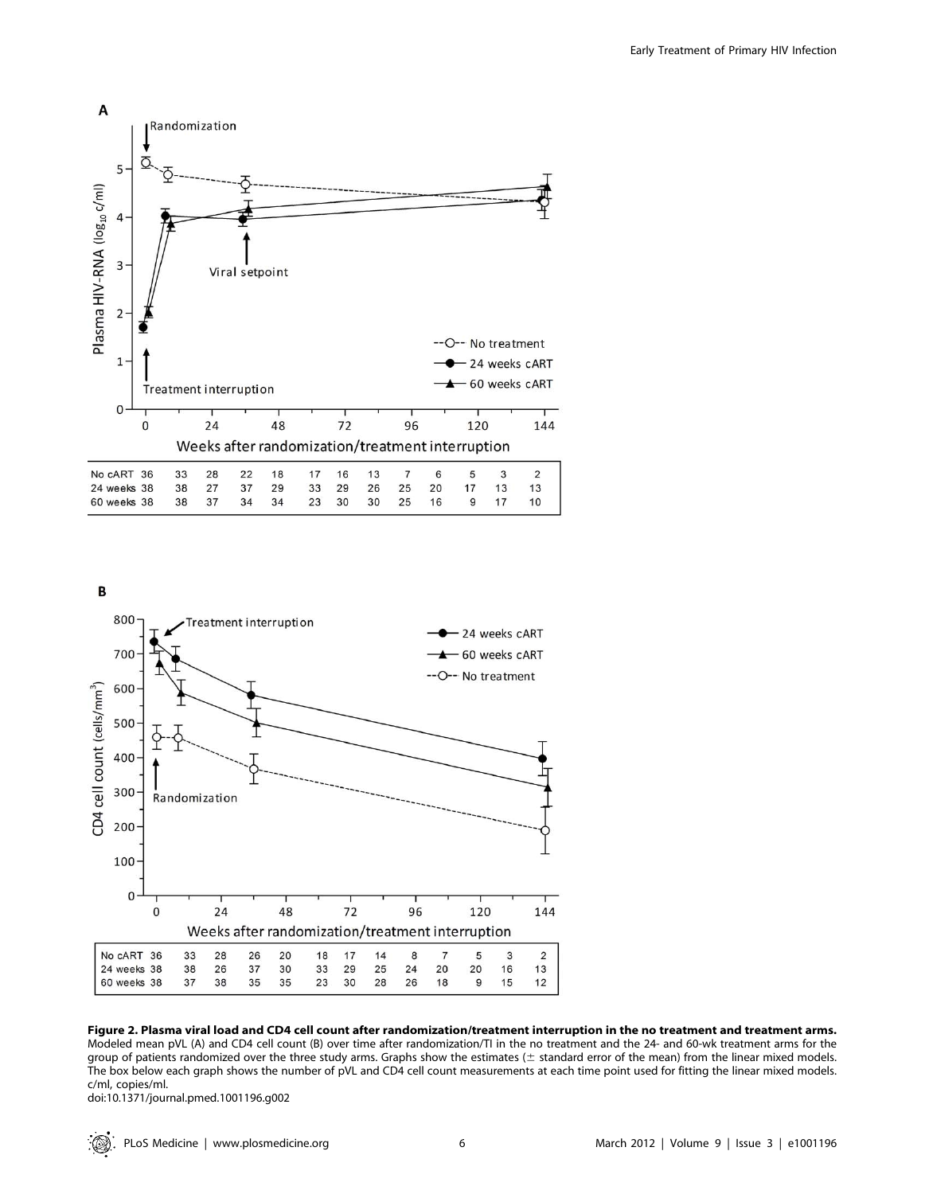





Figure 2. Plasma viral load and CD4 cell count after randomization/treatment interruption in the no treatment and treatment arms. Modeled mean pVL (A) and CD4 cell count (B) over time after randomization/TI in the no treatment and the 24- and 60-wk treatment arms for the group of patients randomized over the three study arms. Graphs show the estimates ( $\pm$  standard error of the mean) from the linear mixed models. The box below each graph shows the number of pVL and CD4 cell count measurements at each time point used for fitting the linear mixed models. c/ml, copies/ml.

doi:10.1371/journal.pmed.1001196.g002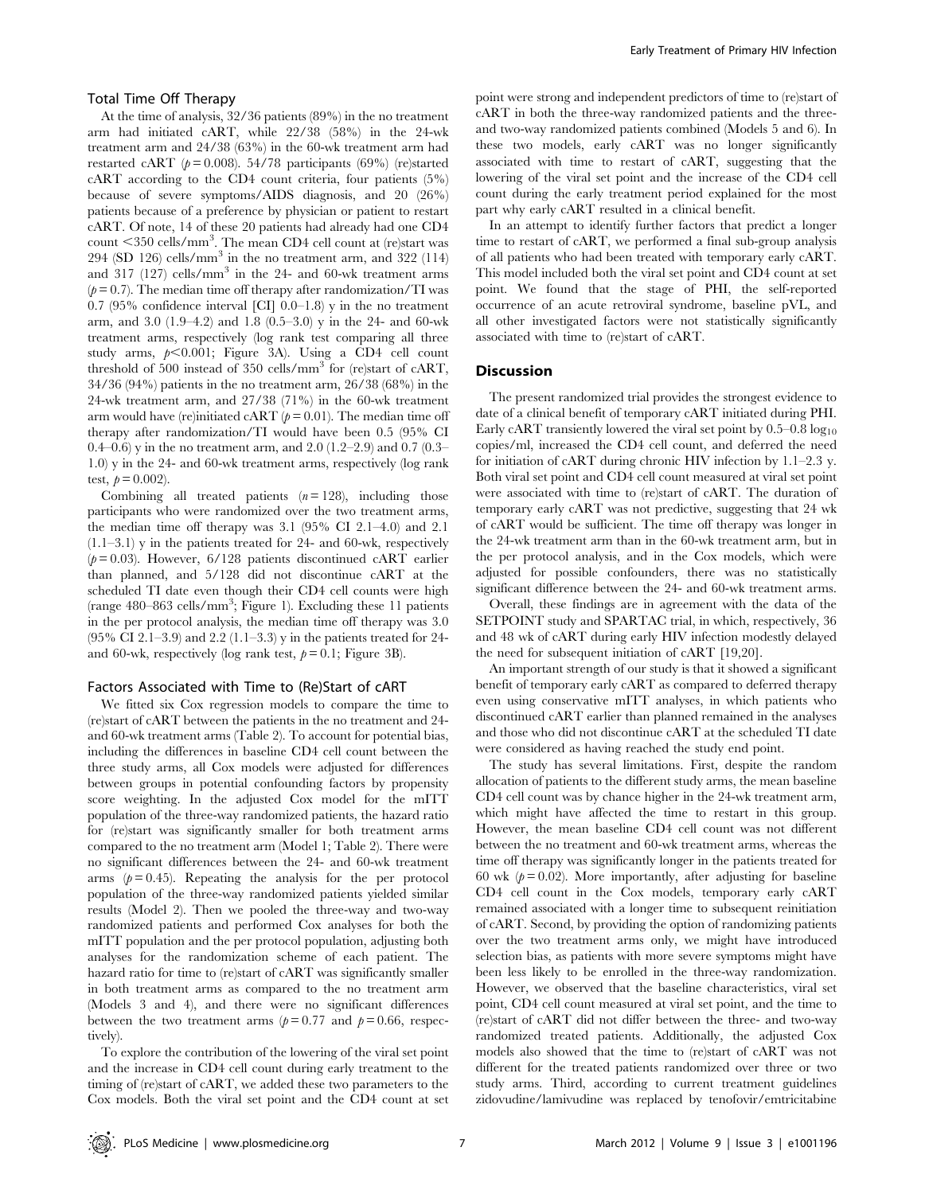#### Total Time Off Therapy

At the time of analysis, 32/36 patients (89%) in the no treatment arm had initiated cART, while 22/38 (58%) in the 24-wk treatment arm and 24/38 (63%) in the 60-wk treatment arm had restarted cART ( $p = 0.008$ ). 54/78 participants (69%) (re)started cART according to the CD4 count criteria, four patients (5%) because of severe symptoms/AIDS diagnosis, and 20 (26%) patients because of a preference by physician or patient to restart cART. Of note, 14 of these 20 patients had already had one CD4 count <350 cells/mm<sup>3</sup>. The mean CD4 cell count at (re)start was 294 (SD 126) cells/mm<sup>3</sup> in the no treatment arm, and 322 (114) and 317 (127) cells/mm<sup>3</sup> in the 24- and 60-wk treatment arms  $(p= 0.7)$ . The median time off therapy after randomization/TI was 0.7 (95% confidence interval [CI] 0.0–1.8) y in the no treatment arm, and 3.0 (1.9–4.2) and 1.8 (0.5–3.0) y in the 24- and 60-wk treatment arms, respectively (log rank test comparing all three study arms,  $p<0.001$ ; Figure 3A). Using a CD4 cell count threshold of 500 instead of 350 cells/mm<sup>3</sup> for (re)start of cART, 34/36 (94%) patients in the no treatment arm, 26/38 (68%) in the 24-wk treatment arm, and 27/38 (71%) in the 60-wk treatment arm would have (re)initiated cART ( $p = 0.01$ ). The median time off therapy after randomization/TI would have been 0.5 (95% CI 0.4–0.6) y in the no treatment arm, and 2.0 (1.2–2.9) and 0.7 (0.3– 1.0) y in the 24- and 60-wk treatment arms, respectively (log rank test,  $p = 0.002$ ).

Combining all treated patients  $(n = 128)$ , including those participants who were randomized over the two treatment arms, the median time off therapy was 3.1 (95% CI 2.1–4.0) and 2.1  $(1.1–3.1)$  y in the patients treated for 24- and 60-wk, respectively  $(p= 0.03)$ . However, 6/128 patients discontinued cART earlier than planned, and 5/128 did not discontinue cART at the scheduled TI date even though their CD4 cell counts were high (range 480–863 cells/mm<sup>3</sup> ; Figure 1). Excluding these 11 patients in the per protocol analysis, the median time off therapy was 3.0 (95% CI 2.1–3.9) and 2.2 (1.1–3.3) y in the patients treated for 24 and 60-wk, respectively (log rank test,  $p = 0.1$ ; Figure 3B).

#### Factors Associated with Time to (Re)Start of cART

We fitted six Cox regression models to compare the time to (re)start of cART between the patients in the no treatment and 24 and 60-wk treatment arms (Table 2). To account for potential bias, including the differences in baseline CD4 cell count between the three study arms, all Cox models were adjusted for differences between groups in potential confounding factors by propensity score weighting. In the adjusted Cox model for the mITT population of the three-way randomized patients, the hazard ratio for (re)start was significantly smaller for both treatment arms compared to the no treatment arm (Model 1; Table 2). There were no significant differences between the 24- and 60-wk treatment arms  $(p= 0.45)$ . Repeating the analysis for the per protocol population of the three-way randomized patients yielded similar results (Model 2). Then we pooled the three-way and two-way randomized patients and performed Cox analyses for both the mITT population and the per protocol population, adjusting both analyses for the randomization scheme of each patient. The hazard ratio for time to (re)start of cART was significantly smaller in both treatment arms as compared to the no treatment arm (Models 3 and 4), and there were no significant differences between the two treatment arms ( $p = 0.77$  and  $p = 0.66$ , respectively).

To explore the contribution of the lowering of the viral set point and the increase in CD4 cell count during early treatment to the timing of (re)start of cART, we added these two parameters to the Cox models. Both the viral set point and the CD4 count at set

point were strong and independent predictors of time to (re)start of cART in both the three-way randomized patients and the threeand two-way randomized patients combined (Models 5 and 6). In these two models, early cART was no longer significantly associated with time to restart of cART, suggesting that the lowering of the viral set point and the increase of the CD4 cell count during the early treatment period explained for the most part why early cART resulted in a clinical benefit.

In an attempt to identify further factors that predict a longer time to restart of cART, we performed a final sub-group analysis of all patients who had been treated with temporary early cART. This model included both the viral set point and CD4 count at set point. We found that the stage of PHI, the self-reported occurrence of an acute retroviral syndrome, baseline pVL, and all other investigated factors were not statistically significantly associated with time to (re)start of cART.

## **Discussion**

The present randomized trial provides the strongest evidence to date of a clinical benefit of temporary cART initiated during PHI. Early cART transiently lowered the viral set point by  $0.5-0.8 \log_{10}$ copies/ml, increased the CD4 cell count, and deferred the need for initiation of cART during chronic HIV infection by 1.1–2.3 y. Both viral set point and CD4 cell count measured at viral set point were associated with time to (re)start of cART. The duration of temporary early cART was not predictive, suggesting that 24 wk of cART would be sufficient. The time off therapy was longer in the 24-wk treatment arm than in the 60-wk treatment arm, but in the per protocol analysis, and in the Cox models, which were adjusted for possible confounders, there was no statistically significant difference between the 24- and 60-wk treatment arms.

Overall, these findings are in agreement with the data of the SETPOINT study and SPARTAC trial, in which, respectively, 36 and 48 wk of cART during early HIV infection modestly delayed the need for subsequent initiation of cART [19,20].

An important strength of our study is that it showed a significant benefit of temporary early cART as compared to deferred therapy even using conservative mITT analyses, in which patients who discontinued cART earlier than planned remained in the analyses and those who did not discontinue cART at the scheduled TI date were considered as having reached the study end point.

The study has several limitations. First, despite the random allocation of patients to the different study arms, the mean baseline CD4 cell count was by chance higher in the 24-wk treatment arm, which might have affected the time to restart in this group. However, the mean baseline CD4 cell count was not different between the no treatment and 60-wk treatment arms, whereas the time off therapy was significantly longer in the patients treated for 60 wk  $(p= 0.02)$ . More importantly, after adjusting for baseline CD4 cell count in the Cox models, temporary early cART remained associated with a longer time to subsequent reinitiation of cART. Second, by providing the option of randomizing patients over the two treatment arms only, we might have introduced selection bias, as patients with more severe symptoms might have been less likely to be enrolled in the three-way randomization. However, we observed that the baseline characteristics, viral set point, CD4 cell count measured at viral set point, and the time to (re)start of cART did not differ between the three- and two-way randomized treated patients. Additionally, the adjusted Cox models also showed that the time to (re)start of cART was not different for the treated patients randomized over three or two study arms. Third, according to current treatment guidelines zidovudine/lamivudine was replaced by tenofovir/emtricitabine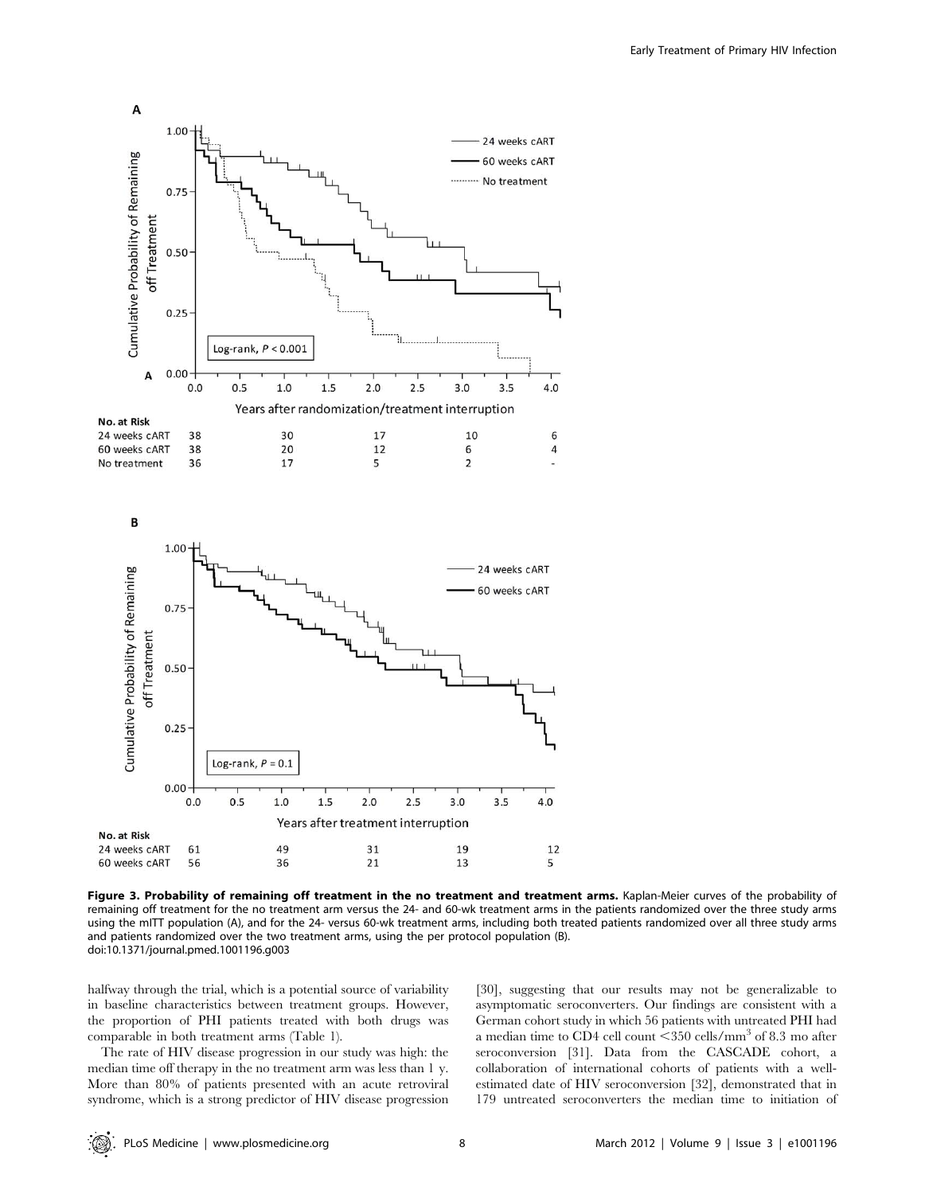

Figure 3. Probability of remaining off treatment in the no treatment and treatment arms. Kaplan-Meier curves of the probability of remaining off treatment for the no treatment arm versus the 24- and 60-wk treatment arms in the patients randomized over the three study arms using the mITT population (A), and for the 24- versus 60-wk treatment arms, including both treated patients randomized over all three study arms and patients randomized over the two treatment arms, using the per protocol population (B). doi:10.1371/journal.pmed.1001196.g003

halfway through the trial, which is a potential source of variability in baseline characteristics between treatment groups. However, the proportion of PHI patients treated with both drugs was comparable in both treatment arms (Table 1).

The rate of HIV disease progression in our study was high: the median time off therapy in the no treatment arm was less than 1 y. More than 80% of patients presented with an acute retroviral syndrome, which is a strong predictor of HIV disease progression

[30], suggesting that our results may not be generalizable to asymptomatic seroconverters. Our findings are consistent with a German cohort study in which 56 patients with untreated PHI had a median time to CD4 cell count  $\leq$ 350 cells/mm<sup>3</sup> of 8.3 mo after seroconversion [31]. Data from the CASCADE cohort, a collaboration of international cohorts of patients with a wellestimated date of HIV seroconversion [32], demonstrated that in 179 untreated seroconverters the median time to initiation of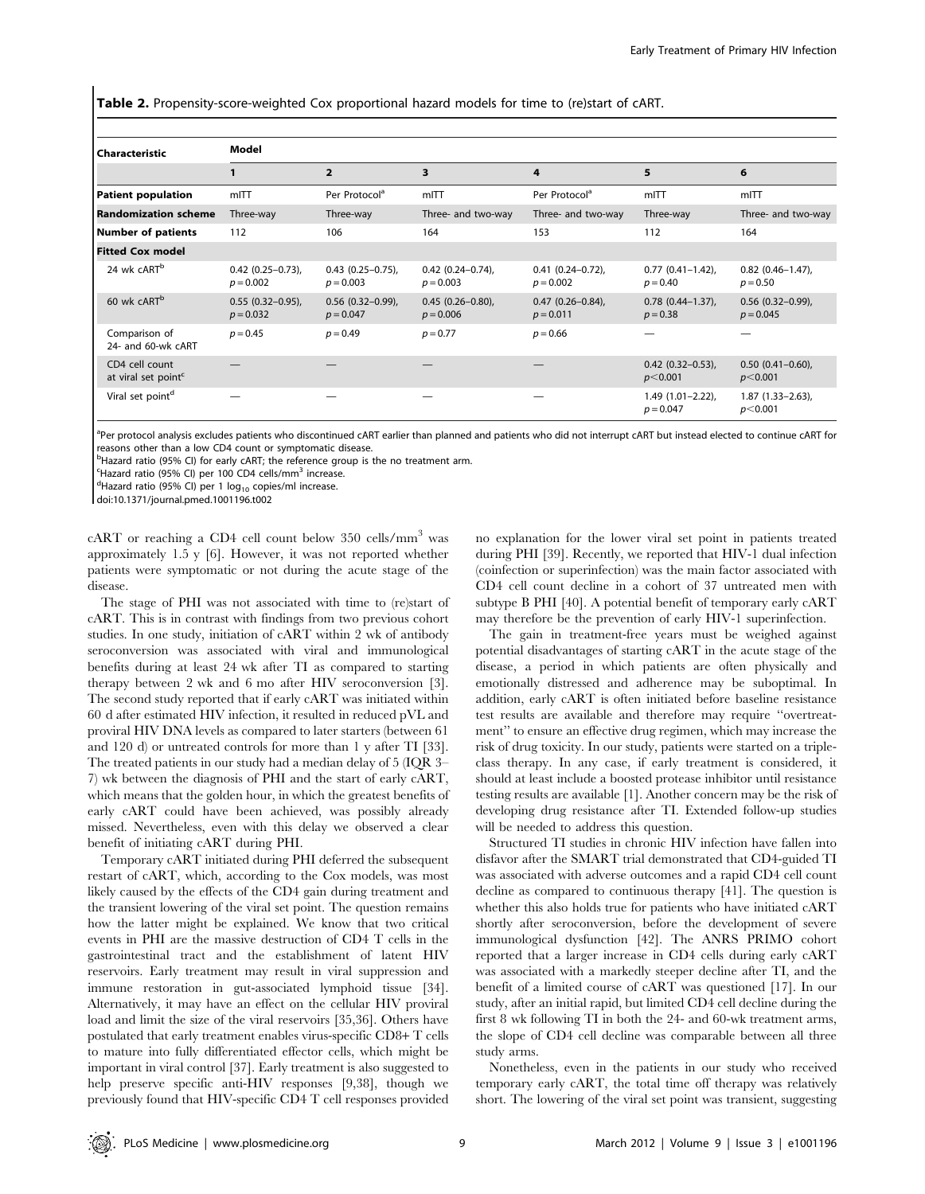Table 2. Propensity-score-weighted Cox proportional hazard models for time to (re)start of cART.

| l Characteristic                                  | Model                                 |                                    |                                      |                                      |                                        |                                    |  |  |
|---------------------------------------------------|---------------------------------------|------------------------------------|--------------------------------------|--------------------------------------|----------------------------------------|------------------------------------|--|--|
|                                                   |                                       | $\overline{2}$                     | 3                                    | 4                                    | 5                                      | 6                                  |  |  |
| Patient population                                | mITT                                  | Per Protocol <sup>a</sup>          | mITT                                 | Per Protocol <sup>a</sup>            | mITT                                   | mITT                               |  |  |
| <b>Randomization scheme</b>                       | Three-way                             | Three-way                          | Three- and two-way                   | Three- and two-way                   | Three-way                              | Three- and two-way                 |  |  |
| Number of patients                                | 112                                   | 106                                | 164                                  | 153                                  | 112                                    | 164                                |  |  |
| <b>Fitted Cox model</b>                           |                                       |                                    |                                      |                                      |                                        |                                    |  |  |
| 24 wk cART <sup>b</sup>                           | $0.42$ (0.25-0.73),<br>$p = 0.002$    | $0.43$ (0.25-0.75),<br>$p = 0.003$ | $0.42$ (0.24-0.74),<br>$p = 0.003$   | $0.41(0.24 - 0.72)$ ,<br>$p = 0.002$ | $0.77$ $(0.41 - 1.42)$ ,<br>$p = 0.40$ | $0.82$ (0.46-1.47),<br>$p = 0.50$  |  |  |
| 60 wk cART <sup>b</sup>                           | $0.55$ $(0.32-0.95)$ ,<br>$p = 0.032$ | $0.56$ (0.32-0.99),<br>$p = 0.047$ | $0.45(0.26 - 0.80)$ ,<br>$p = 0.006$ | $0.47(0.26 - 0.84)$ ,<br>$p = 0.011$ | $0.78$ $(0.44-1.37)$ ,<br>$p = 0.38$   | $0.56$ (0.32-0.99),<br>$p = 0.045$ |  |  |
| Comparison of<br>24- and 60-wk cART               | $p = 0.45$                            | $p = 0.49$                         | $p = 0.77$                           | $p = 0.66$                           |                                        |                                    |  |  |
| CD4 cell count<br>at viral set point <sup>c</sup> |                                       |                                    |                                      |                                      | $0.42$ (0.32-0.53),<br>$p<$ 0.001      | $0.50(0.41-0.60)$ ,<br>p<0.001     |  |  |
| Viral set point <sup>d</sup>                      |                                       |                                    |                                      |                                      | $1.49(1.01 - 2.22)$ ,<br>$p = 0.047$   | $1.87(1.33-2.63)$ ,<br>$p<$ 0.001  |  |  |

<sup>a</sup>Per protocol analysis excludes patients who discontinued cART earlier than planned and patients who did not interrupt cART but instead elected to continue cART for reasons other than a low CD4 count or symptomatic disease.

<sup>b</sup>Hazard ratio (95% CI) for early cART; the reference group is the no treatment arm.

<sup>c</sup>Hazard ratio (95% CI) per 100 CD4 cells/mm<sup>3</sup> increase.<br><sup>d</sup>Hazard ratio (95% CI) per 1 log - copies/ml increase.

<sup>d</sup>Hazard ratio (95% CI) per 1  $log_{10}$  copies/ml increase.

doi:10.1371/journal.pmed.1001196.t002

 $cART$  or reaching a CD4 cell count below 350 cells/mm<sup>3</sup> was approximately 1.5 y [6]. However, it was not reported whether patients were symptomatic or not during the acute stage of the disease.

The stage of PHI was not associated with time to (re)start of cART. This is in contrast with findings from two previous cohort studies. In one study, initiation of cART within 2 wk of antibody seroconversion was associated with viral and immunological benefits during at least 24 wk after TI as compared to starting therapy between 2 wk and 6 mo after HIV seroconversion [3]. The second study reported that if early cART was initiated within 60 d after estimated HIV infection, it resulted in reduced pVL and proviral HIV DNA levels as compared to later starters (between 61 and 120 d) or untreated controls for more than 1 y after TI [33]. The treated patients in our study had a median delay of 5 (IQR 3– 7) wk between the diagnosis of PHI and the start of early cART, which means that the golden hour, in which the greatest benefits of early cART could have been achieved, was possibly already missed. Nevertheless, even with this delay we observed a clear benefit of initiating cART during PHI.

Temporary cART initiated during PHI deferred the subsequent restart of cART, which, according to the Cox models, was most likely caused by the effects of the CD4 gain during treatment and the transient lowering of the viral set point. The question remains how the latter might be explained. We know that two critical events in PHI are the massive destruction of CD4 T cells in the gastrointestinal tract and the establishment of latent HIV reservoirs. Early treatment may result in viral suppression and immune restoration in gut-associated lymphoid tissue [34]. Alternatively, it may have an effect on the cellular HIV proviral load and limit the size of the viral reservoirs [35,36]. Others have postulated that early treatment enables virus-specific CD8+ T cells to mature into fully differentiated effector cells, which might be important in viral control [37]. Early treatment is also suggested to help preserve specific anti-HIV responses [9,38], though we previously found that HIV-specific CD4 T cell responses provided no explanation for the lower viral set point in patients treated during PHI [39]. Recently, we reported that HIV-1 dual infection (coinfection or superinfection) was the main factor associated with CD4 cell count decline in a cohort of 37 untreated men with subtype B PHI [40]. A potential benefit of temporary early cART may therefore be the prevention of early HIV-1 superinfection.

The gain in treatment-free years must be weighed against potential disadvantages of starting cART in the acute stage of the disease, a period in which patients are often physically and emotionally distressed and adherence may be suboptimal. In addition, early cART is often initiated before baseline resistance test results are available and therefore may require ''overtreatment'' to ensure an effective drug regimen, which may increase the risk of drug toxicity. In our study, patients were started on a tripleclass therapy. In any case, if early treatment is considered, it should at least include a boosted protease inhibitor until resistance testing results are available [1]. Another concern may be the risk of developing drug resistance after TI. Extended follow-up studies will be needed to address this question.

Structured TI studies in chronic HIV infection have fallen into disfavor after the SMART trial demonstrated that CD4-guided TI was associated with adverse outcomes and a rapid CD4 cell count decline as compared to continuous therapy [41]. The question is whether this also holds true for patients who have initiated cART shortly after seroconversion, before the development of severe immunological dysfunction [42]. The ANRS PRIMO cohort reported that a larger increase in CD4 cells during early cART was associated with a markedly steeper decline after TI, and the benefit of a limited course of cART was questioned [17]. In our study, after an initial rapid, but limited CD4 cell decline during the first 8 wk following TI in both the 24- and 60-wk treatment arms, the slope of CD4 cell decline was comparable between all three study arms.

Nonetheless, even in the patients in our study who received temporary early cART, the total time off therapy was relatively short. The lowering of the viral set point was transient, suggesting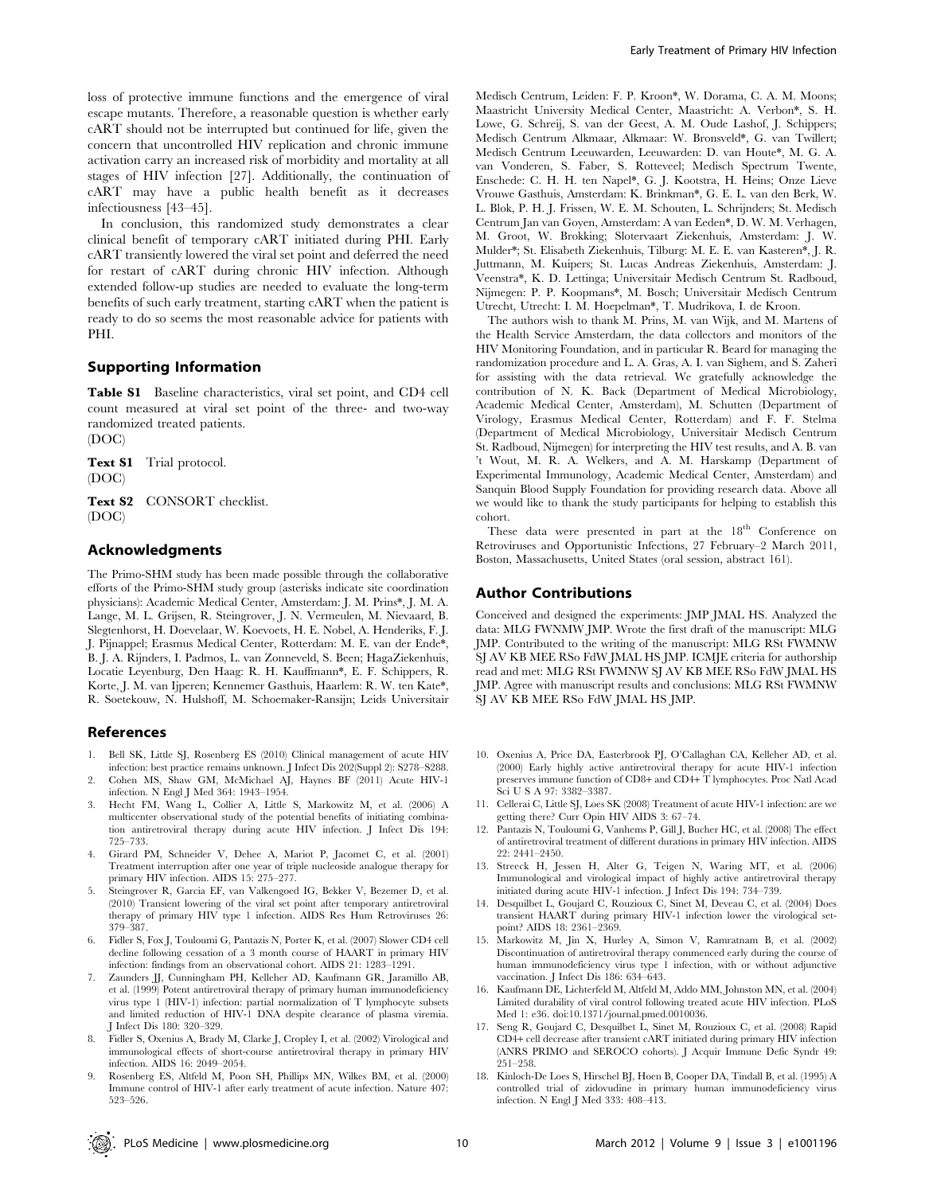loss of protective immune functions and the emergence of viral escape mutants. Therefore, a reasonable question is whether early cART should not be interrupted but continued for life, given the concern that uncontrolled HIV replication and chronic immune activation carry an increased risk of morbidity and mortality at all stages of HIV infection [27]. Additionally, the continuation of cART may have a public health benefit as it decreases infectiousness [43–45].

In conclusion, this randomized study demonstrates a clear clinical benefit of temporary cART initiated during PHI. Early cART transiently lowered the viral set point and deferred the need for restart of cART during chronic HIV infection. Although extended follow-up studies are needed to evaluate the long-term benefits of such early treatment, starting cART when the patient is ready to do so seems the most reasonable advice for patients with PHI.

## Supporting Information

Table S1 Baseline characteristics, viral set point, and CD4 cell count measured at viral set point of the three- and two-way randomized treated patients.

(DOC)

Text S1 Trial protocol. (DOC)

Text S2 CONSORT checklist. (DOC)

## Acknowledgments

The Primo-SHM study has been made possible through the collaborative efforts of the Primo-SHM study group (asterisks indicate site coordination physicians): Academic Medical Center, Amsterdam: J. M. Prins\*, J. M. A. Lange, M. L. Grijsen, R. Steingrover, J. N. Vermeulen, M. Nievaard, B. Slegtenhorst, H. Doevelaar, W. Koevoets, H. E. Nobel, A. Henderiks, F. J. J. Pijnappel; Erasmus Medical Center, Rotterdam: M. E. van der Ende\*, B. J. A. Rijnders, I. Padmos, L. van Zonneveld, S. Been; HagaZiekenhuis, Locatie Leyenburg, Den Haag: R. H. Kauffmann\*, E. F. Schippers, R. Korte, J. M. van Ijperen; Kennemer Gasthuis, Haarlem: R. W. ten Kate\*, R. Soetekouw, N. Hulshoff, M. Schoemaker-Ransijn; Leids Universitair

## References

- 1. Bell SK, Little SJ, Rosenberg ES (2010) Clinical management of acute HIV infection: best practice remains unknown. J Infect Dis 202(Suppl 2): S278–S288.
- 2. Cohen MS, Shaw GM, McMichael AJ, Haynes BF (2011) Acute HIV-1 infection. N Engl J Med 364: 1943–1954.
- 3. Hecht FM, Wang L, Collier A, Little S, Markowitz M, et al. (2006) A multicenter observational study of the potential benefits of initiating combination antiretroviral therapy during acute HIV infection. J Infect Dis 194: 725–733.
- 4. Girard PM, Schneider V, Dehee A, Mariot P, Jacomet C, et al. (2001) Treatment interruption after one year of triple nucleoside analogue therapy for primary HIV infection. AIDS 15: 275–277.
- 5. Steingrover R, Garcia EF, van Valkengoed IG, Bekker V, Bezemer D, et al. (2010) Transient lowering of the viral set point after temporary antiretroviral therapy of primary HIV type 1 infection. AIDS Res Hum Retroviruses 26: 379–387.
- 6. Fidler S, Fox J, Touloumi G, Pantazis N, Porter K, et al. (2007) Slower CD4 cell decline following cessation of a 3 month course of HAART in primary HIV infection: findings from an observational cohort. AIDS 21: 1283–1291.
- 7. Zaunders JJ, Cunningham PH, Kelleher AD, Kaufmann GR, Jaramillo AB, et al. (1999) Potent antiretroviral therapy of primary human immunodeficiency virus type 1 (HIV-1) infection: partial normalization of T lymphocyte subsets and limited reduction of HIV-1 DNA despite clearance of plasma viremia. J Infect Dis 180: 320–329.
- 8. Fidler S, Oxenius A, Brady M, Clarke J, Cropley I, et al. (2002) Virological and immunological effects of short-course antiretroviral therapy in primary HIV infection. AIDS 16: 2049–2054.
- 9. Rosenberg ES, Altfeld M, Poon SH, Phillips MN, Wilkes BM, et al. (2000) Immune control of HIV-1 after early treatment of acute infection. Nature 407: 523–526.

Medisch Centrum, Leiden: F. P. Kroon\*, W. Dorama, C. A. M. Moons; Maastricht University Medical Center, Maastricht: A. Verbon\*, S. H. Lowe, G. Schreij, S. van der Geest, A. M. Oude Lashof, J. Schippers; Medisch Centrum Alkmaar, Alkmaar: W. Bronsveld\*, G. van Twillert; Medisch Centrum Leeuwarden, Leeuwarden: D. van Houte\*, M. G. A. van Vonderen, S. Faber, S. Rotteveel; Medisch Spectrum Twente, Enschede: C. H. H. ten Napel\*, G. J. Kootstra, H. Heins; Onze Lieve Vrouwe Gasthuis, Amsterdam: K. Brinkman\*, G. E. L. van den Berk, W. L. Blok, P. H. J. Frissen, W. E. M. Schouten, L. Schrijnders; St. Medisch Centrum Jan van Goyen, Amsterdam: A van Eeden\*, D. W. M. Verhagen, M. Groot, W. Brokking; Slotervaart Ziekenhuis, Amsterdam: J. W. Mulder\*; St. Elisabeth Ziekenhuis, Tilburg: M. E. E. van Kasteren\*, J. R. Juttmann, M. Kuipers; St. Lucas Andreas Ziekenhuis, Amsterdam: J. Veenstra\*, K. D. Lettinga; Universitair Medisch Centrum St. Radboud, Nijmegen: P. P. Koopmans\*, M. Bosch; Universitair Medisch Centrum Utrecht, Utrecht: I. M. Hoepelman\*, T. Mudrikova, I. de Kroon.

The authors wish to thank M. Prins, M. van Wijk, and M. Martens of the Health Service Amsterdam, the data collectors and monitors of the HIV Monitoring Foundation, and in particular R. Beard for managing the randomization procedure and L. A. Gras, A. I. van Sighem, and S. Zaheri for assisting with the data retrieval. We gratefully acknowledge the contribution of N. K. Back (Department of Medical Microbiology, Academic Medical Center, Amsterdam), M. Schutten (Department of Virology, Erasmus Medical Center, Rotterdam) and F. F. Stelma (Department of Medical Microbiology, Universitair Medisch Centrum St. Radboud, Nijmegen) for interpreting the HIV test results, and A. B. van 't Wout, M. R. A. Welkers, and A. M. Harskamp (Department of Experimental Immunology, Academic Medical Center, Amsterdam) and Sanquin Blood Supply Foundation for providing research data. Above all we would like to thank the study participants for helping to establish this cohort.

These data were presented in part at the 18<sup>th</sup> Conference on Retroviruses and Opportunistic Infections, 27 February–2 March 2011, Boston, Massachusetts, United States (oral session, abstract 161).

#### Author Contributions

Conceived and designed the experiments: JMP JMAL HS. Analyzed the data: MLG FWNMW JMP. Wrote the first draft of the manuscript: MLG JMP. Contributed to the writing of the manuscript: MLG RSt FWMNW SJ AV KB MEE RSo FdW JMAL HS JMP. ICMJE criteria for authorship read and met: MLG RSt FWMNW SJ AV KB MEE RSo FdW JMAL HS JMP. Agree with manuscript results and conclusions: MLG RSt FWMNW SJ AV KB MEE RSo FdW JMAL HS JMP.

- 10. Oxenius A, Price DA, Easterbrook PJ, O'Callaghan CA, Kelleher AD, et al. (2000) Early highly active antiretroviral therapy for acute HIV-1 infection preserves immune function of CD8+ and CD4+ T lymphocytes. Proc Natl Acad Sci U S A 97: 3382–3387.
- 11. Cellerai C, Little SJ, Loes SK (2008) Treatment of acute HIV-1 infection: are we getting there? Curr Opin HIV AIDS 3: 67–74.
- 12. Pantazis N, Touloumi G, Vanhems P, Gill J, Bucher HC, et al. (2008) The effect of antiretroviral treatment of different durations in primary HIV infection. AIDS 22: 2441–2450.
- 13. Streeck H, Jessen H, Alter G, Teigen N, Waring MT, et al. (2006) Immunological and virological impact of highly active antiretroviral therapy initiated during acute HIV-1 infection. J Infect Dis 194: 734–739.
- 14. Desquilbet L, Goujard C, Rouzioux C, Sinet M, Deveau C, et al. (2004) Does transient HAART during primary HIV-1 infection lower the virological setpoint? AIDS 18: 2361–2369.
- 15. Markowitz M, Jin X, Hurley A, Simon V, Ramratnam B, et al. (2002) Discontinuation of antiretroviral therapy commenced early during the course of human immunodeficiency virus type 1 infection, with or without adjunctive vaccination. J Infect Dis 186: 634–643.
- 16. Kaufmann DE, Lichterfeld M, Altfeld M, Addo MM, Johnston MN, et al. (2004) Limited durability of viral control following treated acute HIV infection. PLoS Med 1: e36. doi:10.1371/journal.pmed.0010036.
- 17. Seng R, Goujard C, Desquilbet L, Sinet M, Rouzioux C, et al. (2008) Rapid CD4+ cell decrease after transient cART initiated during primary HIV infection (ANRS PRIMO and SEROCO cohorts). J Acquir Immune Defic Syndr 49: 251–258.
- 18. Kinloch-De Loes S, Hirschel BJ, Hoen B, Cooper DA, Tindall B, et al. (1995) A controlled trial of zidovudine in primary human immunodeficiency virus infection. N Engl J Med 333: 408–413.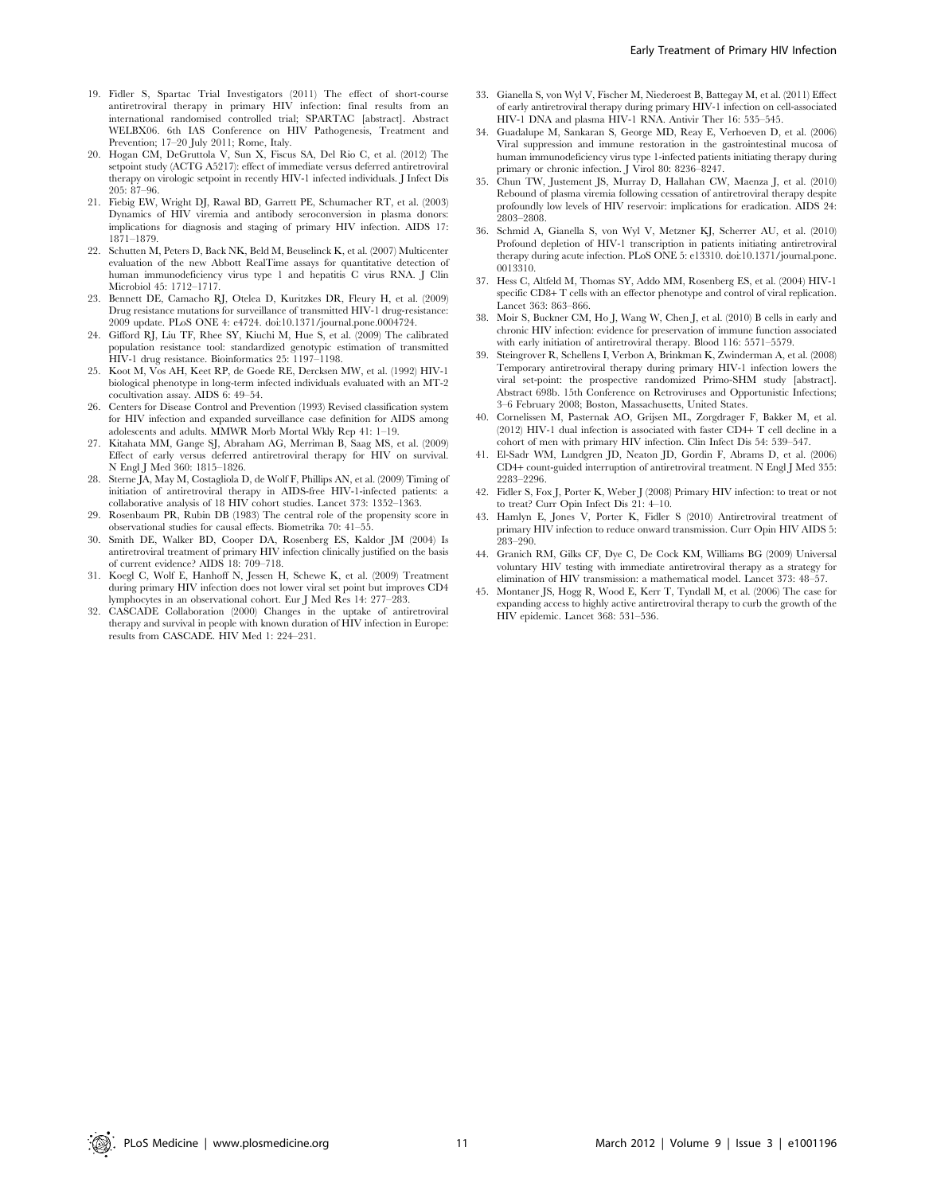- 19. Fidler S, Spartac Trial Investigators (2011) The effect of short-course antiretroviral therapy in primary HIV infection: final results from an international randomised controlled trial; SPARTAC [abstract]. Abstract WELBX06. 6th IAS Conference on HIV Pathogenesis, Treatment and Prevention; 17–20 July 2011; Rome, Italy.
- 20. Hogan CM, DeGruttola V, Sun X, Fiscus SA, Del Rio C, et al. (2012) The setpoint study (ACTG A5217): effect of immediate versus deferred antiretroviral therapy on virologic setpoint in recently HIV-1 infected individuals. J Infect Dis 205: 87–96.
- 21. Fiebig EW, Wright DJ, Rawal BD, Garrett PE, Schumacher RT, et al. (2003) Dynamics of HIV viremia and antibody seroconversion in plasma donors: implications for diagnosis and staging of primary HIV infection. AIDS 17: 1871–1879.
- 22. Schutten M, Peters D, Back NK, Beld M, Beuselinck K, et al. (2007) Multicenter evaluation of the new Abbott RealTime assays for quantitative detection of human immunodeficiency virus type 1 and hepatitis C virus RNA. J Clin Microbiol 45: 1712–1717.
- 23. Bennett DE, Camacho RJ, Otelea D, Kuritzkes DR, Fleury H, et al. (2009) Drug resistance mutations for surveillance of transmitted HIV-1 drug-resistance: 2009 update. PLoS ONE 4: e4724. doi:10.1371/journal.pone.0004724.
- 24. Gifford RJ, Liu TF, Rhee SY, Kiuchi M, Hue S, et al. (2009) The calibrated population resistance tool: standardized genotypic estimation of transmitted HIV-1 drug resistance. Bioinformatics 25: 1197–1198.
- 25. Koot M, Vos AH, Keet RP, de Goede RE, Dercksen MW, et al. (1992) HIV-1 biological phenotype in long-term infected individuals evaluated with an MT-2 cocultivation assay. AIDS 6: 49–54.
- 26. Centers for Disease Control and Prevention (1993) Revised classification system for HIV infection and expanded surveillance case definition for AIDS among adolescents and adults. MMWR Morb Mortal Wkly Rep 41: 1–19.
- 27. Kitahata MM, Gange SJ, Abraham AG, Merriman B, Saag MS, et al. (2009) Effect of early versus deferred antiretroviral therapy for HIV on survival. N Engl J Med 360: 1815–1826.
- 28. Sterne JA, May M, Costagliola D, de Wolf F, Phillips AN, et al. (2009) Timing of initiation of antiretroviral therapy in AIDS-free HIV-1-infected patients: a collaborative analysis of 18 HIV cohort studies. Lancet 373: 1352–1363.
- Rosenbaum PR, Rubin DB (1983) The central role of the propensity score in observational studies for causal effects. Biometrika 70: 41–55.
- 30. Smith DE, Walker BD, Cooper DA, Rosenberg ES, Kaldor JM (2004) Is antiretroviral treatment of primary HIV infection clinically justified on the basis of current evidence? AIDS 18: 709–718.
- 31. Koegl C, Wolf E, Hanhoff N, Jessen H, Schewe K, et al. (2009) Treatment during primary HIV infection does not lower viral set point but improves CD4 lymphocytes in an observational cohort. Eur J Med Res 14: 277–283.
- 32. CASCADE Collaboration (2000) Changes in the uptake of antiretroviral therapy and survival in people with known duration of HIV infection in Europe: results from CASCADE. HIV Med 1: 224–231.
- 33. Gianella S, von Wyl V, Fischer M, Niederoest B, Battegay M, et al. (2011) Effect of early antiretroviral therapy during primary HIV-1 infection on cell-associated HIV-1 DNA and plasma HIV-1 RNA. Antivir Ther 16: 535–545.
- 34. Guadalupe M, Sankaran S, George MD, Reay E, Verhoeven D, et al. (2006) Viral suppression and immune restoration in the gastrointestinal mucosa of human immunodeficiency virus type 1-infected patients initiating therapy during primary or chronic infection. J Virol 80: 8236–8247.
- 35. Chun TW, Justement JS, Murray D, Hallahan CW, Maenza J, et al. (2010) Rebound of plasma viremia following cessation of antiretroviral therapy despite profoundly low levels of HIV reservoir: implications for eradication. AIDS 24: 2803–2808.
- 36. Schmid A, Gianella S, von Wyl V, Metzner KJ, Scherrer AU, et al. (2010) Profound depletion of HIV-1 transcription in patients initiating antiretroviral therapy during acute infection. PLoS ONE 5: e13310. doi:10.1371/journal.pone. 0013310.
- 37. Hess C, Altfeld M, Thomas SY, Addo MM, Rosenberg ES, et al. (2004) HIV-1 specific CD8+ T cells with an effector phenotype and control of viral replication. Lancet 363: 863–866.
- 38. Moir S, Buckner CM, Ho J, Wang W, Chen J, et al. (2010) B cells in early and chronic HIV infection: evidence for preservation of immune function associated with early initiation of antiretroviral therapy. Blood 116: 5571–5579.
- 39. Steingrover R, Schellens I, Verbon A, Brinkman K, Zwinderman A, et al. (2008) Temporary antiretroviral therapy during primary HIV-1 infection lowers the viral set-point: the prospective randomized Primo-SHM study [abstract]. Abstract 698b. 15th Conference on Retroviruses and Opportunistic Infections; 3–6 February 2008; Boston, Massachusetts, United States.
- 40. Cornelissen M, Pasternak AO, Grijsen ML, Zorgdrager F, Bakker M, et al. (2012) HIV-1 dual infection is associated with faster CD4+ T cell decline in a cohort of men with primary HIV infection. Clin Infect Dis 54: 539–547.
- 41. El-Sadr WM, Lundgren JD, Neaton JD, Gordin F, Abrams D, et al. (2006) CD4+ count-guided interruption of antiretroviral treatment. N Engl J Med 355: 2283–2296.
- 42. Fidler S, Fox J, Porter K, Weber J (2008) Primary HIV infection: to treat or not to treat? Curr Opin Infect Dis 21: 4–10.
- 43. Hamlyn E, Jones V, Porter K, Fidler S (2010) Antiretroviral treatment of primary HIV infection to reduce onward transmission. Curr Opin HIV AIDS 5: 283–290.
- 44. Granich RM, Gilks CF, Dye C, De Cock KM, Williams BG (2009) Universal voluntary HIV testing with immediate antiretroviral therapy as a strategy for elimination of HIV transmission: a mathematical model. Lancet 373: 48–57.
- 45. Montaner JS, Hogg R, Wood E, Kerr T, Tyndall M, et al. (2006) The case for expanding access to highly active antiretroviral therapy to curb the growth of the HIV epidemic. Lancet 368: 531–536.